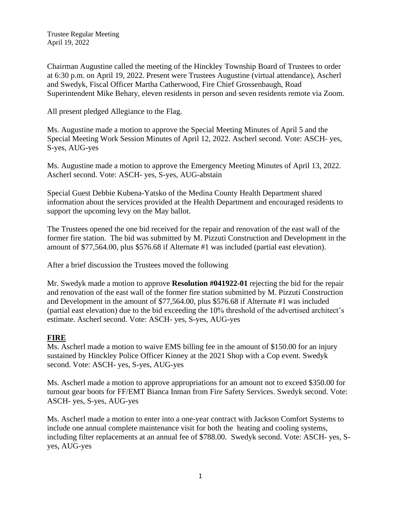Chairman Augustine called the meeting of the Hinckley Township Board of Trustees to order at 6:30 p.m. on April 19, 2022. Present were Trustees Augustine (virtual attendance), Ascherl and Swedyk, Fiscal Officer Martha Catherwood, Fire Chief Grossenbaugh, Road Superintendent Mike Behary, eleven residents in person and seven residents remote via Zoom.

All present pledged Allegiance to the Flag.

Ms. Augustine made a motion to approve the Special Meeting Minutes of April 5 and the Special Meeting Work Session Minutes of April 12, 2022. Ascherl second. Vote: ASCH- yes, S-yes, AUG-yes

Ms. Augustine made a motion to approve the Emergency Meeting Minutes of April 13, 2022. Ascherl second. Vote: ASCH- yes, S-yes, AUG-abstain

Special Guest Debbie Kubena-Yatsko of the Medina County Health Department shared information about the services provided at the Health Department and encouraged residents to support the upcoming levy on the May ballot.

The Trustees opened the one bid received for the repair and renovation of the east wall of the former fire station. The bid was submitted by M. Pizzuti Construction and Development in the amount of \$77,564.00, plus \$576.68 if Alternate #1 was included (partial east elevation).

After a brief discussion the Trustees moved the following

Mr. Swedyk made a motion to approve **Resolution #041922-01** rejecting the bid for the repair and renovation of the east wall of the former fire station submitted by M. Pizzuti Construction and Development in the amount of \$77,564.00, plus \$576.68 if Alternate #1 was included (partial east elevation) due to the bid exceeding the 10% threshold of the advertised architect's estimate. Ascherl second. Vote: ASCH- yes, S-yes, AUG-yes

### **FIRE**

Ms. Ascherl made a motion to waive EMS billing fee in the amount of \$150.00 for an injury sustained by Hinckley Police Officer Kinney at the 2021 Shop with a Cop event. Swedyk second. Vote: ASCH- yes, S-yes, AUG-yes

Ms. Ascherl made a motion to approve appropriations for an amount not to exceed \$350.00 for turnout gear boots for FF/EMT Bianca Inman from Fire Safety Services. Swedyk second. Vote: ASCH- yes, S-yes, AUG-yes

Ms. Ascherl made a motion to enter into a one-year contract with Jackson Comfort Systems to include one annual complete maintenance visit for both the heating and cooling systems, including filter replacements at an annual fee of \$788.00. Swedyk second. Vote: ASCH- yes, Syes, AUG-yes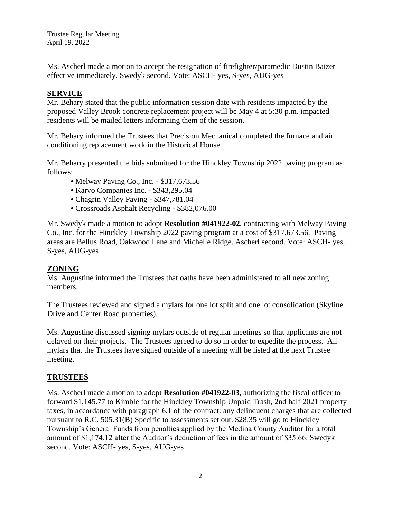Ms. Ascherl made a motion to accept the resignation of firefighter/paramedic Dustin Baizer effective immediately. Swedyk second. Vote: ASCH- yes, S-yes, AUG-yes

## **SERVICE**

Mr. Behary stated that the public information session date with residents impacted by the proposed Valley Brook concrete replacement project will be May 4 at 5:30 p.m. impacted residents will be mailed letters informaing them of the session.

Mr. Behary informed the Trustees that Precision Mechanical completed the furnace and air conditioning replacement work in the Historical House.

Mr. Beharry presented the bids submitted for the Hinckley Township 2022 paving program as follows:

- Melway Paving Co., Inc. \$317,673.56
- Karvo Companies Inc. \$343,295.04
- Chagrin Valley Paving \$347,781.04
- Crossroads Asphalt Recycling \$382,076.00

Mr. Swedyk made a motion to adopt **Resolution #041922-02**, contracting with Melway Paving Co., Inc. for the Hinckley Township 2022 paving program at a cost of \$317,673.56. Paving areas are Bellus Road, Oakwood Lane and Michelle Ridge. Ascherl second. Vote: ASCH- yes, S-yes, AUG-yes

### **ZONING**

Ms. Augustine informed the Trustees that oaths have been administered to all new zoning members.

The Trustees reviewed and signed a mylars for one lot split and one lot consolidation (Skyline Drive and Center Road properties).

Ms. Augustine discussed signing mylars outside of regular meetings so that applicants are not delayed on their projects. The Trustees agreed to do so in order to expedite the process. All mylars that the Trustees have signed outside of a meeting will be listed at the next Trustee meeting.

### **TRUSTEES**

Ms. Ascherl made a motion to adopt **Resolution #041922-03**, authorizing the fiscal officer to forward \$1,145.77 to Kimble for the Hinckley Township Unpaid Trash, 2nd half 2021 property taxes, in accordance with paragraph 6.1 of the contract: any delinquent charges that are collected pursuant to R.C. 505.31(B) Specific to assessments set out. \$28.35 will go to Hinckley Township's General Funds from penalties applied by the Medina County Auditor for a total amount of \$1,174.12 after the Auditor's deduction of fees in the amount of \$35.66. Swedyk second. Vote: ASCH- yes, S-yes, AUG-yes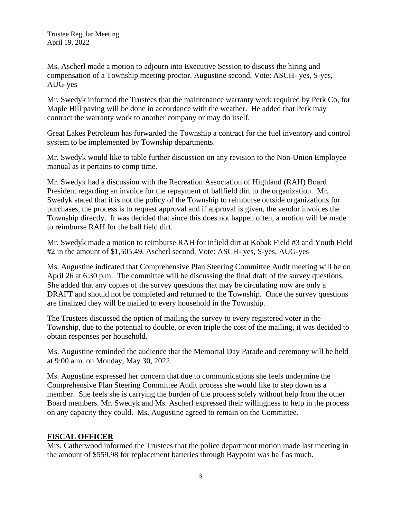Ms. Ascherl made a motion to adjourn into Executive Session to discuss the hiring and compensation of a Township meeting proctor. Augustine second. Vote: ASCH- yes, S-yes, AUG-yes

Mr. Swedyk informed the Trustees that the maintenance warranty work required by Perk Co, for Maple Hill paving will be done in accordance with the weather. He added that Perk may contract the warranty work to another company or may do itself.

Great Lakes Petroleum has forwarded the Township a contract for the fuel inventory and control system to be implemented by Township departments.

Mr. Swedyk would like to table further discussion on any revision to the Non-Union Employee manual as it pertains to comp time.

Mr. Swedyk had a discussion with the Recreation Association of Highland (RAH) Board President regarding an invoice for the repayment of ballfield dirt to the organization. Mr. Swedyk stated that it is not the policy of the Township to reimburse outside organizations for purchases, the process is to request approval and if approval is given, the vendor invoices the Township directly. It was decided that since this does not happen often, a motion will be made to reimburse RAH for the ball field dirt.

Mr. Swedyk made a motion to reimburse RAH for infield dirt at Kobak Field #3 and Youth Field #2 in the amount of \$1,505.49. Ascherl second. Vote: ASCH- yes, S-yes, AUG-yes

Ms. Augustine indicated that Comprehensive Plan Steering Committee Audit meeting will be on April 26 at 6:30 p.m. The committee will be discussing the final draft of the survey questions. She added that any copies of the survey questions that may be circulating now are only a DRAFT and should not be completed and returned to the Township. Once the survey questions are finalized they will be mailed to every household in the Township.

The Trustees discussed the option of mailing the survey to every registered voter in the Township, due to the potential to double, or even triple the cost of the mailing, it was decided to obtain responses per household.

Ms. Augustine reminded the audience that the Memorial Day Parade and ceremony will be held at 9:00 a.m. on Monday, May 30, 2022.

Ms. Augustine expressed her concern that due to communications she feels undermine the Comprehensive Plan Steering Committee Audit process she would like to step down as a member. She feels she is carrying the burden of the process solely without help from the other Board members. Mr. Swedyk and Ms. Ascherl expressed their willingness to help in the process on any capacity they could. Ms. Augustine agreed to remain on the Committee.

# **FISCAL OFFICER**

Mrs. Catherwood informed the Trustees that the police department motion made last meeting in the amount of \$559.98 for replacement batteries through Baypoint was half as much.